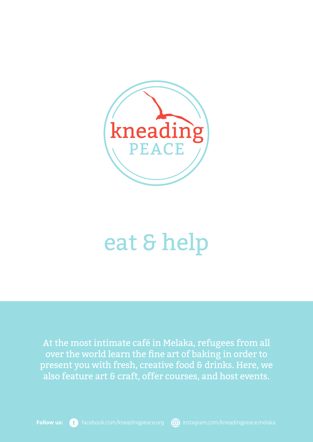

# eat & help

At the most intimate café in Melaka, refugees from all over the world learn the fine art of baking in order to present you with fresh, creative food & drinks. Here, we also feature art & craft, offer courses, and host events.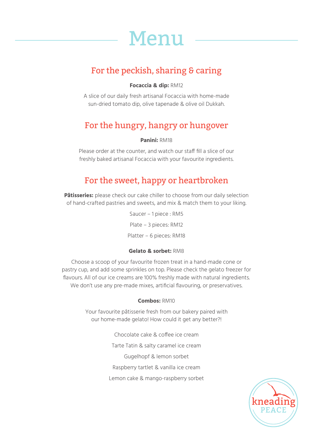

# For the peckish, sharing & caring

#### **Focaccia & dip:** RM12

A slice of our daily fresh artisanal Focaccia with home-made sun-dried tomato dip, olive tapenade & olive oil Dukkah.

## For the hungry, hangry or hungover

#### **Panini:** RM18

Please order at the counter, and watch our staff fill a slice of our freshly baked artisanal Focaccia with your favourite ingredients.

## For the sweet, happy or heartbroken

Pâtisseries: please check our cake chiller to choose from our daily selection of hand-crafted pastries and sweets, and mix & match them to your liking.

> Saucer – 1 piece : RM5 Plate – 3 pieces: RM12 Platter – 6 pieces: RM18

#### **Gelato & sorbet:** RM8

Choose a scoop of your favourite frozen treat in a hand-made cone or pastry cup, and add some sprinkles on top. Please check the gelato freezer for flavours. All of our ice creams are 100% freshly made with natural ingredients. We don't use any pre-made mixes, artificial flavouring, or preservatives.

#### **Combos:** RM10

Your favourite pâtisserie fresh from our bakery paired with our home-made gelato! How could it get any better?!

> Chocolate cake & coffee ice cream Tarte Tatin & salty caramel ice cream Gugelhopf & lemon sorbet Raspberry tartlet & vanilla ice cream Lemon cake & mango-raspberry sorbet

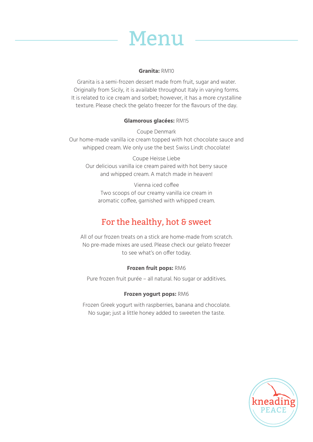

#### **Granita:** RM10

Granita is a semi-frozen dessert made from fruit, sugar and water. Originally from Sicily, it is available throughout Italy in varying forms. It is related to ice cream and sorbet; however, it has a more crystalline texture. Please check the gelato freezer for the flavours of the day.

#### **Glamorous glacées:** RM15

Coupe Denmark Our home-made vanilla ice cream topped with hot chocolate sauce and whipped cream. We only use the best Swiss Lindt chocolate!

Coupe Heisse Liebe Our delicious vanilla ice cream paired with hot berry sauce and whipped cream. A match made in heaven!

Vienna iced coffee Two scoops of our creamy vanilla ice cream in aromatic coffee, garnished with whipped cream.

## For the healthy, hot & sweet

All of our frozen treats on a stick are home-made from scratch. No pre-made mixes are used. Please check our gelato freezer to see what's on offer today.

#### **Frozen fruit pops:** RM6

Pure frozen fruit purée – all natural. No sugar or additives.

#### **Frozen yogurt pops:** RM6

Frozen Greek yogurt with raspberries, banana and chocolate. No sugar; just a little honey added to sweeten the taste.

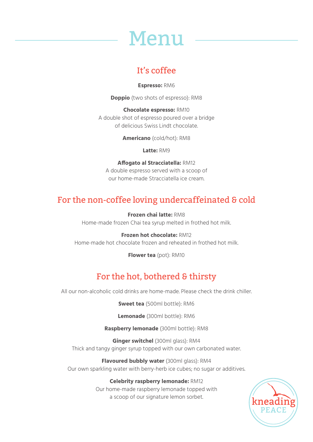

## It's coffee

**Espresso:** RM6

**Doppio** (two shots of espresso): RM8

**Chocolate espresso:** RM10 A double shot of espresso poured over a bridge of delicious Swiss Lindt chocolate.

**Americano** (cold/hot): RM8

**Latte:** RM9

**Affogato al Stracciatella:** RM12 A double espresso served with a scoop of our home-made Stracciatella ice cream.

# For the non-coffee loving undercaffeinated & cold

**Frozen chai latte:** RM8 Home-made frozen Chai tea syrup melted in frothed hot milk.

**Frozen hot chocolate:** RM12 Home-made hot chocolate frozen and reheated in frothed hot milk.

**Flower tea** (pot): RM10

# For the hot, bothered & thirsty

All our non-alcoholic cold drinks are home-made. Please check the drink chiller.

**Sweet tea** (500ml bottle): RM6

**Lemonade** (300ml bottle): RM6

**Raspberry lemonade** (300ml bottle): RM8

**Ginger switchel** (300ml glass): RM4 Thick and tangy ginger syrup topped with our own carbonated water.

**Flavoured bubbly water** (300ml glass): RM4 Our own sparkling water with berry-herb ice cubes; no sugar or additives.

#### **Celebrity raspberry lemonade:** RM12

Our home-made raspberry lemonade topped with a scoop of our signature lemon sorbet.

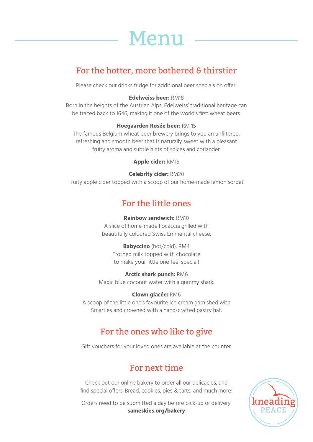

## For the hotter, more bothered & thirstier

Please check our drinks fridge for additional beer specials on offer!

#### **Edelweiss beer:** RM18

Born in the heights of the Austrian Alps, Edelweiss' traditional heritage can be traced back to 1646, making it one of the world's first wheat beers.

#### **Hoegaarden Rosée beer:** RM 15

The famous Belgium wheat beer brewery brings to you an unfiltered, refreshing and smooth beer that is naturally sweet with a pleasant fruity aroma and subtle hints of spices and coriander.

**Apple cider:** RM15

#### **Celebrity cider:** RM20

Fruity apple cider topped with a scoop of our home-made lemon sorbet.

### For the little ones

#### **Rainbow sandwich:** RM10

A slice of home-made Focaccia grilled with beautifully coloured Swiss Emmental cheese.

**Babyccino** (hot/cold): RM4 Frothed milk topped with chocolate to make your little one feel special!

**Arctic shark punch:** RM6 Magic blue coconut water with a gummy shark.

#### **Clown glacée:** RM6

A scoop of the little one's favourite ice cream garnished with Smarties and crowned with a hand-crafted pastry hat.

### For the ones who like to give

Gift vouchers for your loved ones are available at the counter.

## For next time

Check out our online bakery to order all our delicacies, and find special offers. Bread, cookies, pies & tarts, and much more!

Orders need to be submitted a day before pick-up or delivery. **sameskies.org/bakery**